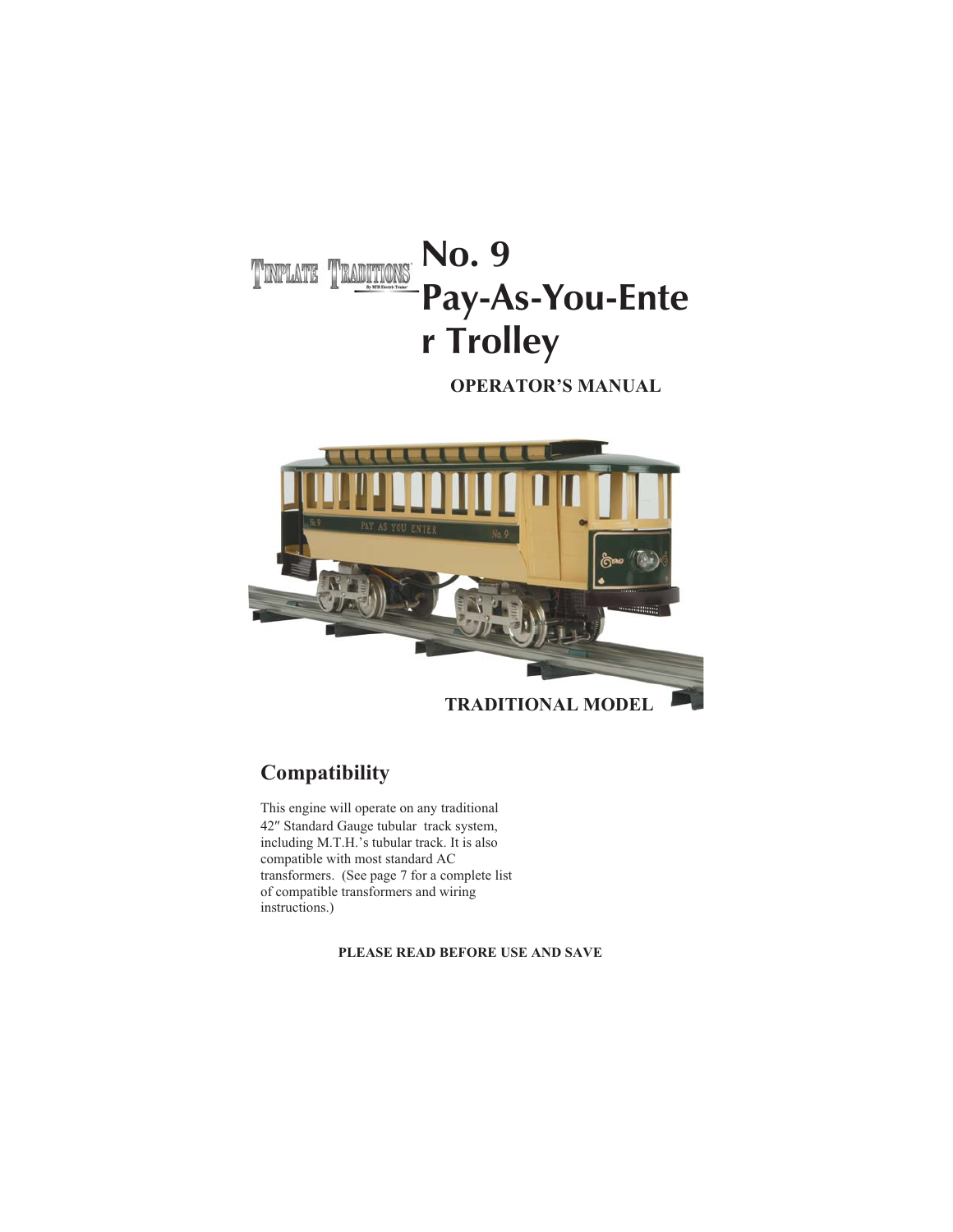### **No. 9** TINPLATE TRADITIONS **Pay-As-You-Ente r Trolley**

**OPERATOR'S MANUAL**



#### **Compatibility**

This engine will operate on any traditional<br>42" Standard Gauge tubular track system, including M.T.H.'s tubular track. It is also compatible with most standard AC transformers. (See page 7 for a complete list of compatible transformers and wiring instructions.)

**PLEASE READ BEFORE USE AND SAVE**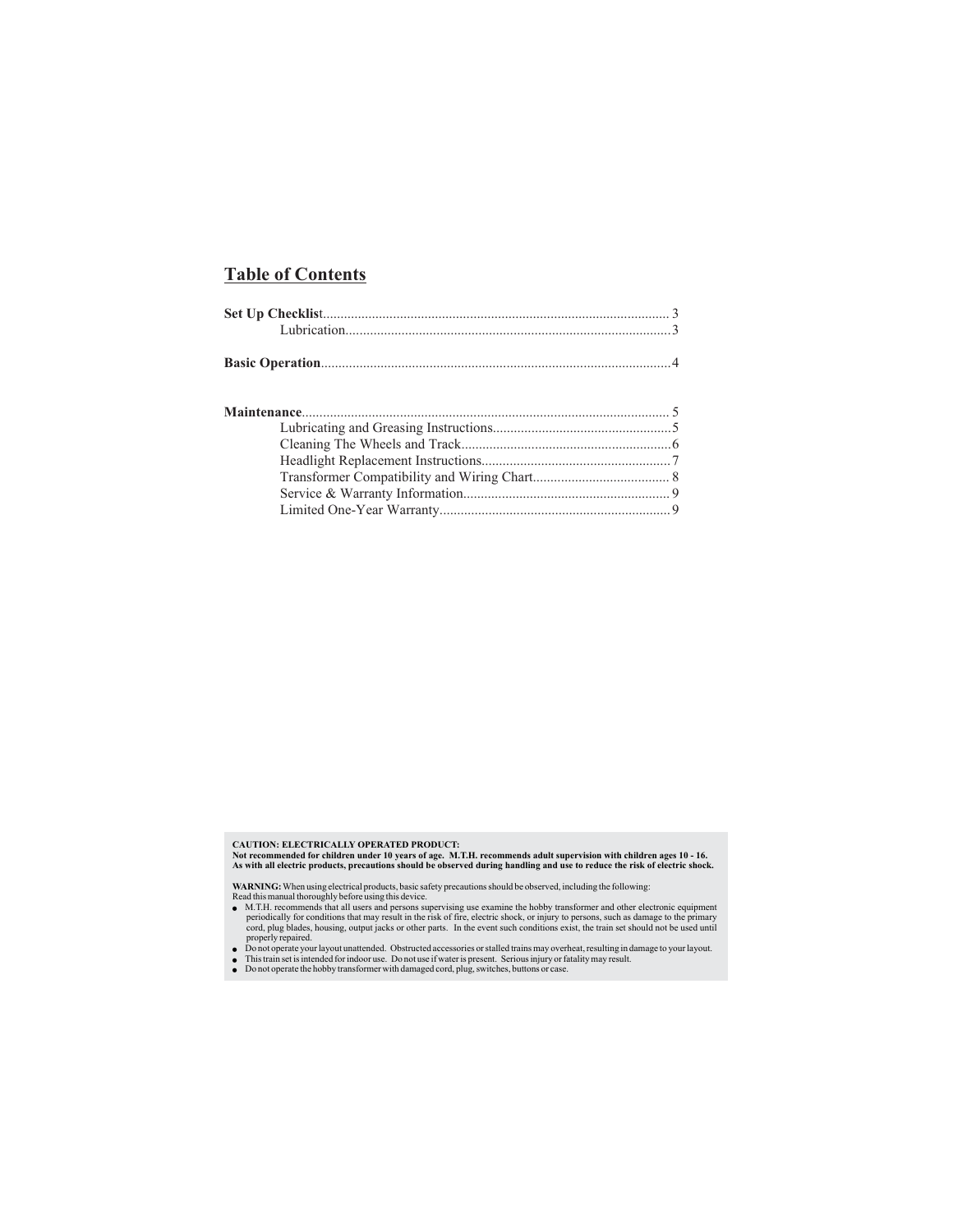#### **Table of Contents**

CAUTION: ELECTRICALLY OPERATED PRODUCT:<br>Not recommended for children under 10 years of age. M.T.H. recommends adult supervision with children ages 10 - 16.<br>As with all electric products, precautions should be observed dur

- WARNING: When using electrical products, basic safety precautions should be observed, including the following:<br>
Read this manual thoroughly before using this device.<br>  $\bullet$  M.T.H. recommends that all users and persons supe ●
- 
- Do not operate your layout unattended. Obstructed accessories or stalled trains may over<br>● This train set is intended for indoor use. Do not use if water is present. Serious injury or fa<br>● Do not operate the hobby trans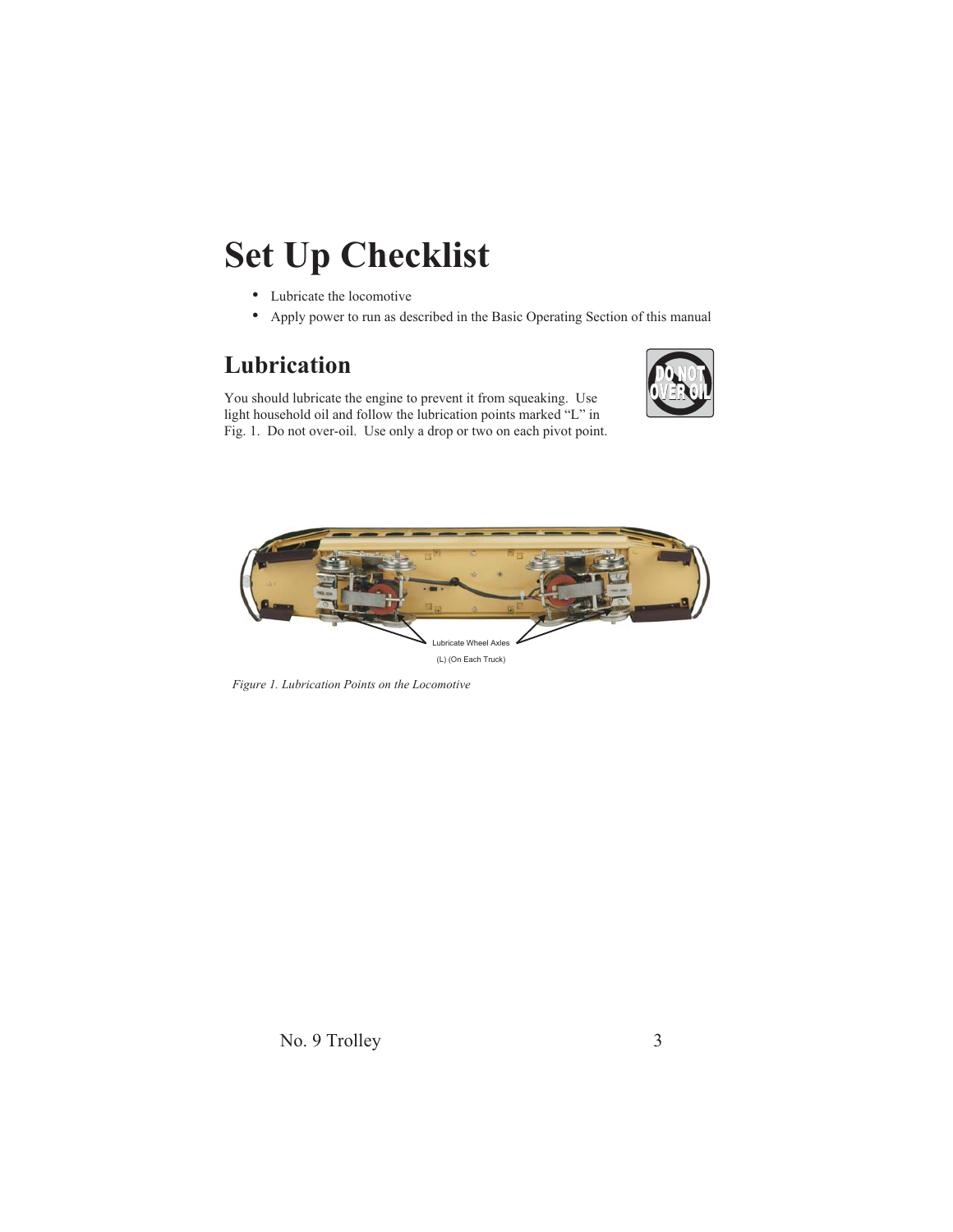# **Set Up Checklist**

- Lubricate the locomotive
- Apply power to run as described in the Basic Operating Section of this manual

#### **Lubrication**

You should lubricate the engine to prevent it from squeaking. Use light household oil and follow the lubrication points marked "L" in Fig. 1. Do not over-oil. Use only a drop or two on each pivot point.





*Figure 1. Lubrication Points on the Locomotive*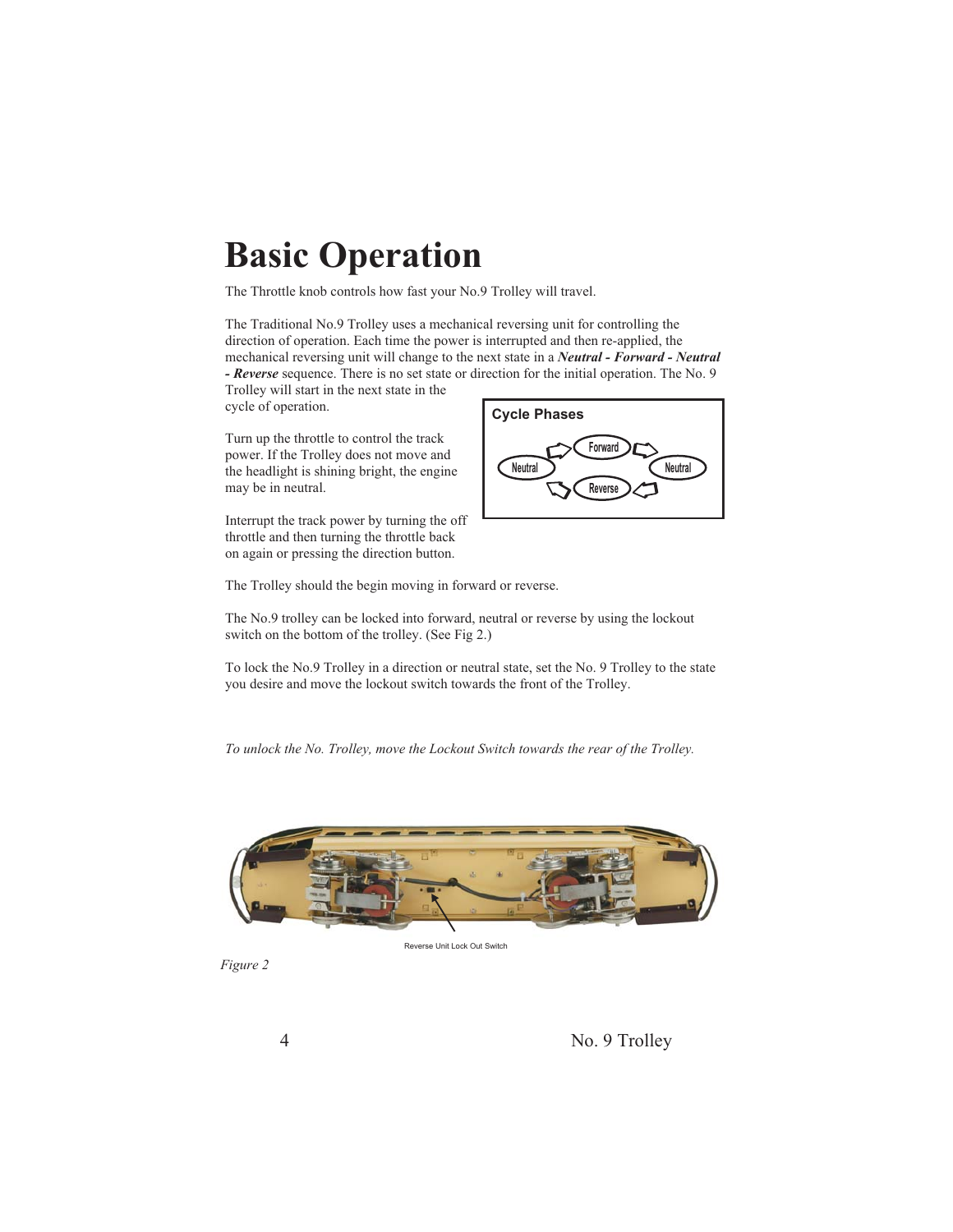## **Basic Operation**

The Throttle knob controls how fast your No.9 Trolley will travel.

The Traditional No.9 Trolley uses a mechanical reversing unit for controlling the direction of operation. Each time the power is interrupted and then re-applied, the mechanical reversing unit will change to the next state in a *Neutral - Forward - Neutral - Reverse* sequence. There is no set state or direction for the initial operation. The No. 9

Trolley will start in the next state in the cycle of operation.

Turn up the throttle to control the track power. If the Trolley does not move and the headlight is shining bright, the engine may be in neutral.

Interrupt the track power by turning the off throttle and then turning the throttle back on again or pressing the direction button.



The Trolley should the begin moving in forward or reverse.

The No.9 trolley can be locked into forward, neutral or reverse by using the lockout switch on the bottom of the trolley. (See Fig 2.)

To lock the No.9 Trolley in a direction or neutral state, set the No. 9 Trolley to the state you desire and move the lockout switch towards the front of the Trolley.

*To unlock the No. Trolley, move the Lockout Switch towards the rear of the Trolley.*



Reverse Unit Lock Out Switch

*Figure 2*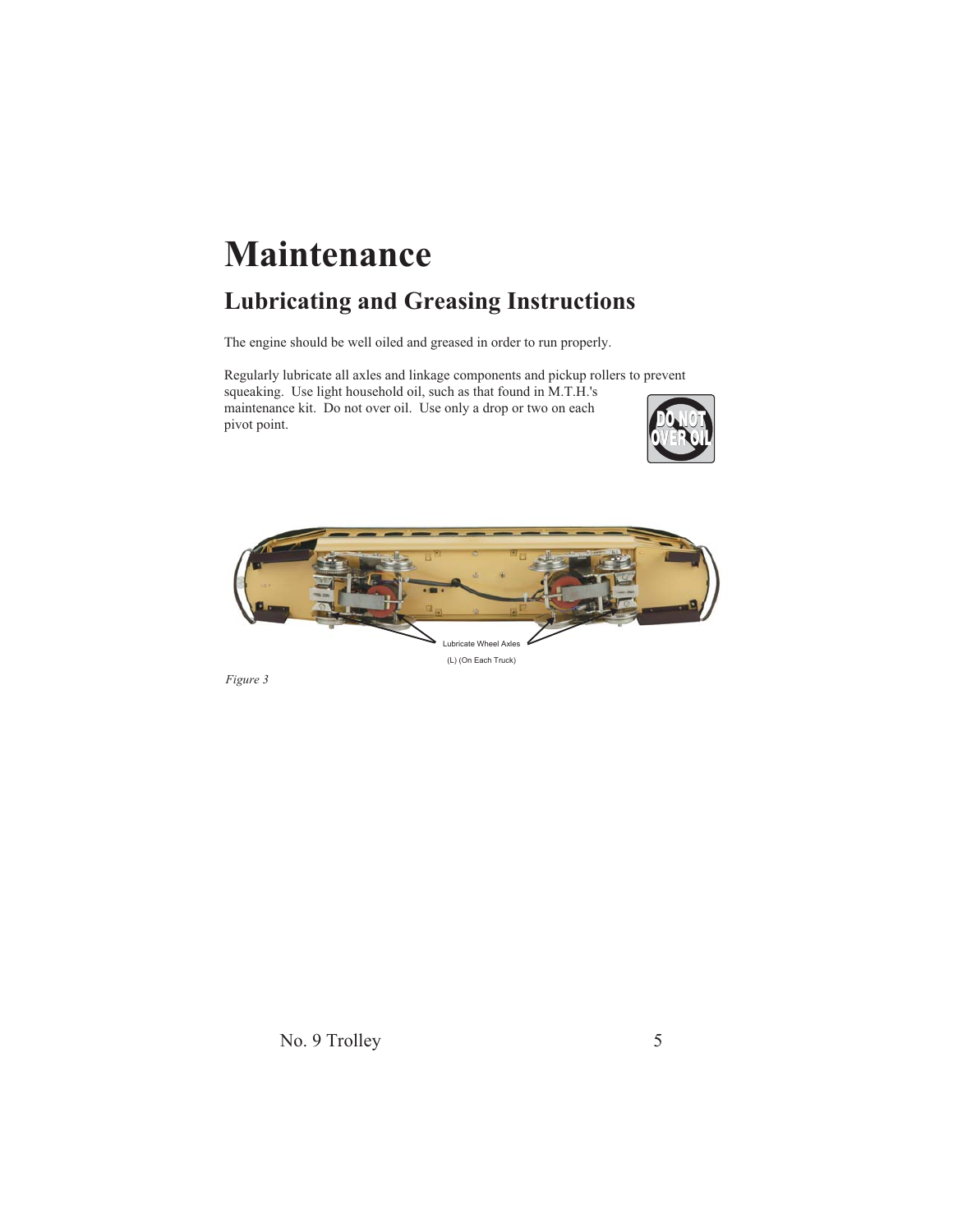# **Maintenance**

### **Lubricating and Greasing Instructions**

The engine should be well oiled and greased in order to run properly.

Regularly lubricate all axles and linkage components and pickup rollers to prevent squeaking. Use light household oil, such as that found in M.T.H.'s maintenance kit. Do not over oil. Use only a drop or two on each pivot point.





*Figure 3*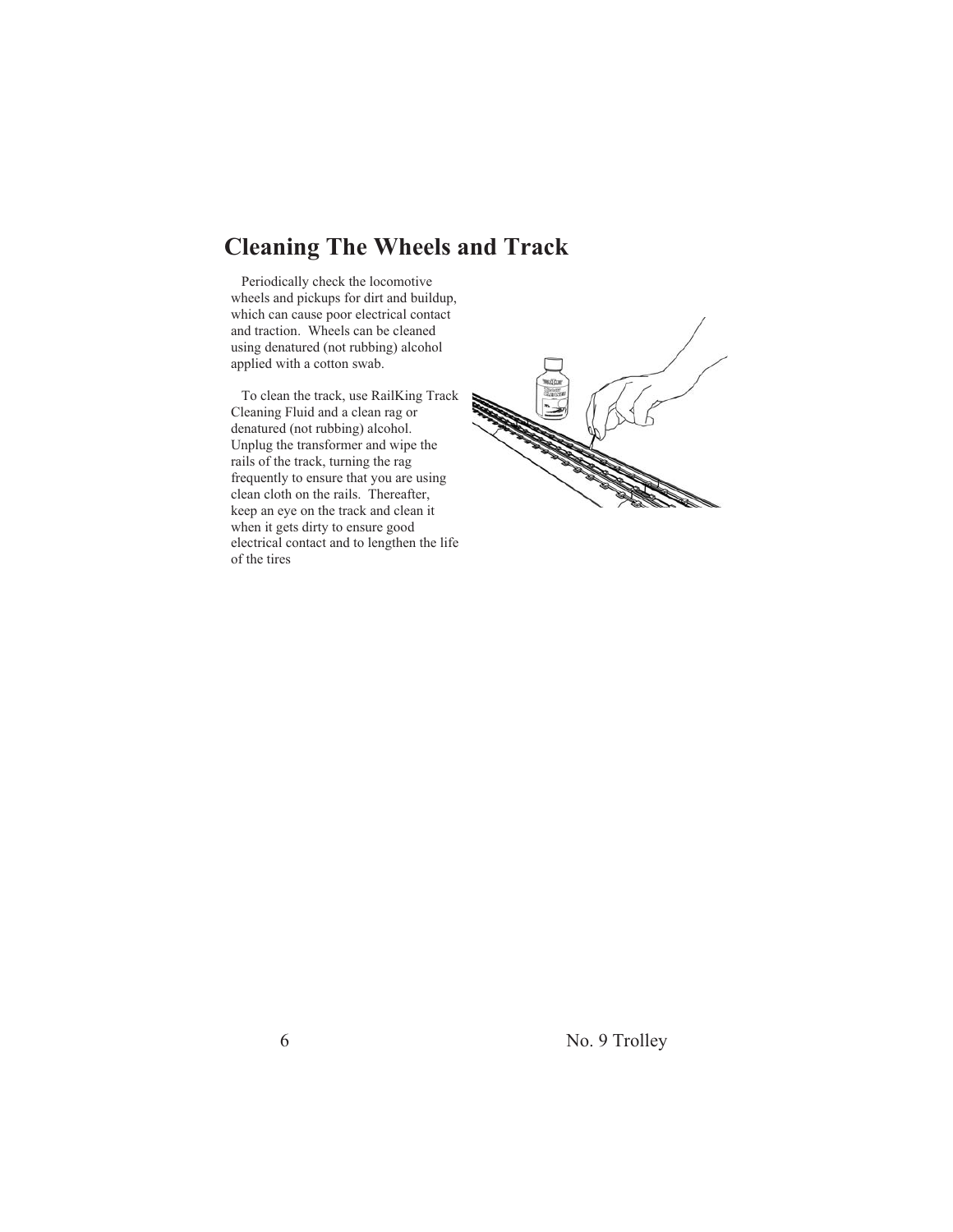#### **Cleaning The Wheels and Track**

Periodically check the locomotive wheels and pickups for dirt and buildup, which can cause poor electrical contact and traction. Wheels can be cleaned using denatured (not rubbing) alcohol applied with a cotton swab.

To clean the track, use RailKing Track Cleaning Fluid and a clean rag or denatured (not rubbing) alcohol. Unplug the transformer and wipe the rails of the track, turning the rag frequently to ensure that you are using clean cloth on the rails. Thereafter, keep an eye on the track and clean it when it gets dirty to ensure good electrical contact and to lengthen the life of the tires

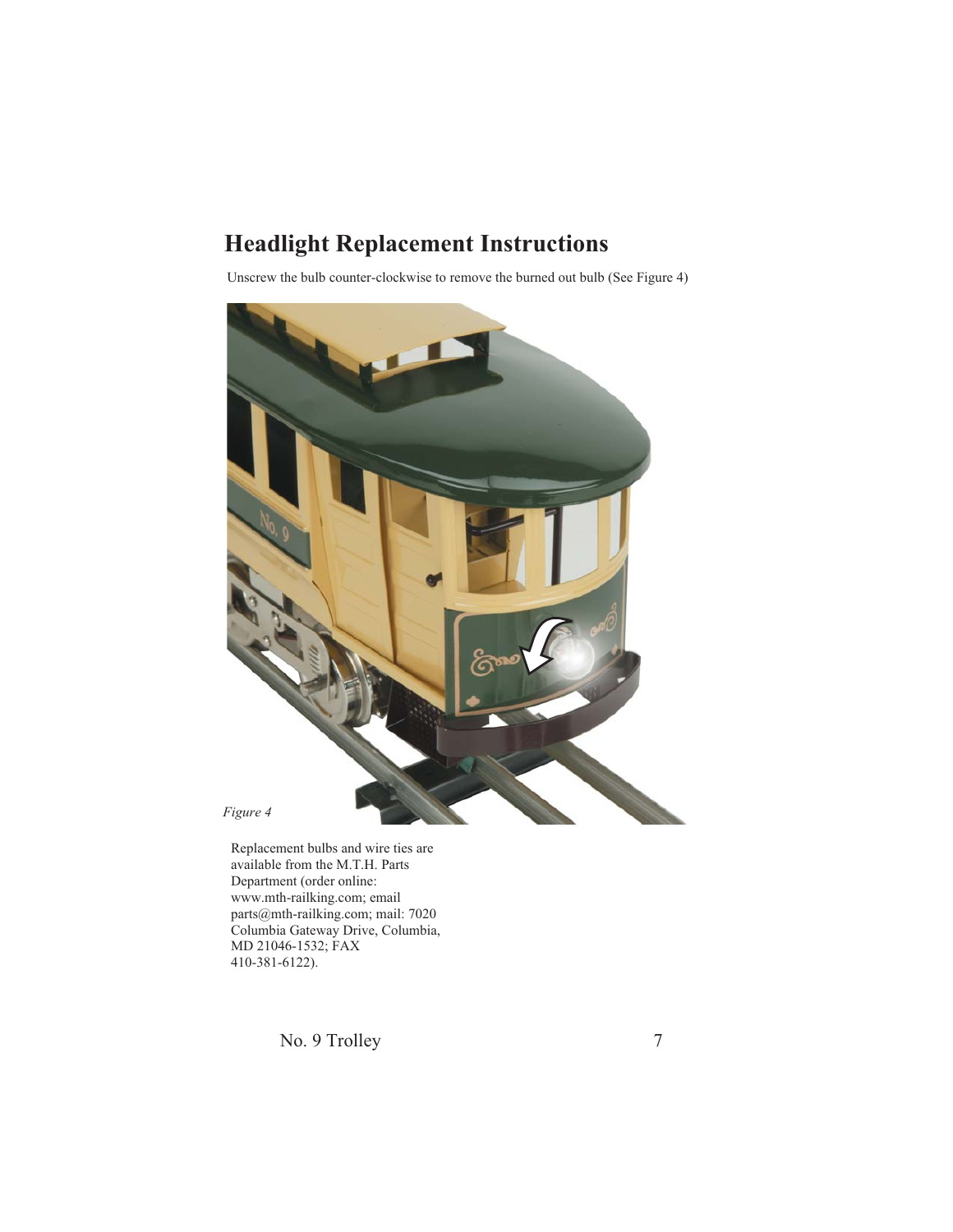### **Headlight Replacement Instructions**

Unscrew the bulb counter-clockwise to remove the burned out bulb (See Figure 4)



Replacement bulbs and wire ties are available from the M.T.H. Parts Department (order online: www.mth-railking.com; email parts@mth-railking.com; mail: 7020 Columbia Gateway Drive, Columbia, MD 21046-1532; FAX 410-381-6122).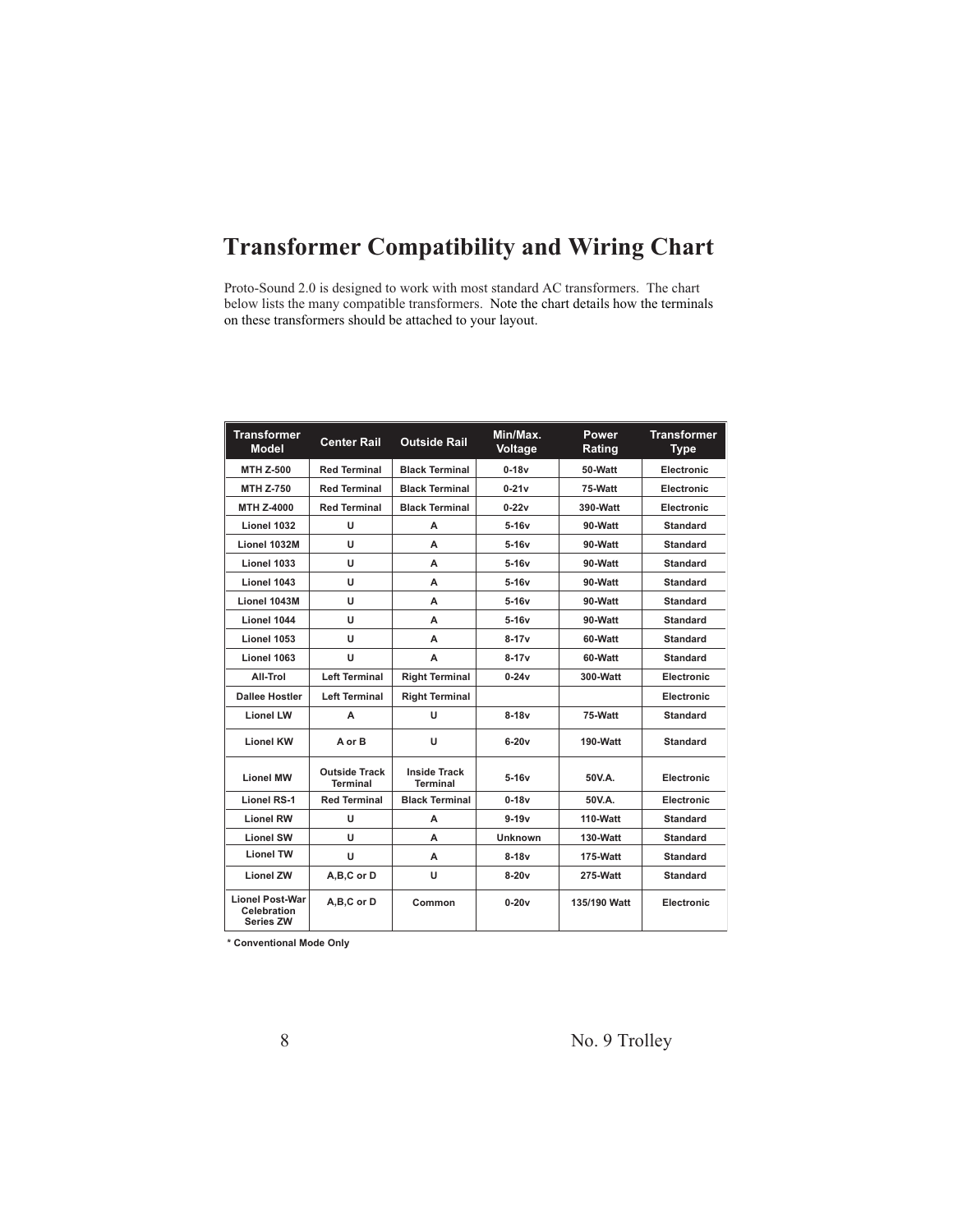### **Transformer Compatibility and Wiring Chart**

Proto-Sound 2.0 is designed to work with most standard AC transformers. The chart below lists the many compatible transformers. Note the chart details how the terminals on these transformers should be attached to your layout.

| <b>Transformer</b><br><b>Model</b>                               | <b>Center Rail</b>                      | <b>Outside Rail</b>                    | Min/Max.<br>Voltage | Power<br>Rating | <b>Transformer</b><br><b>Type</b> |
|------------------------------------------------------------------|-----------------------------------------|----------------------------------------|---------------------|-----------------|-----------------------------------|
| <b>MTH Z-500</b>                                                 | <b>Red Terminal</b>                     | <b>Black Terminal</b>                  | $0-18v$             | 50-Watt         | Electronic                        |
| <b>MTH Z-750</b>                                                 | <b>Red Terminal</b>                     | <b>Black Terminal</b>                  | $0-21v$             | 75-Watt         | <b>Electronic</b>                 |
| <b>MTH Z-4000</b>                                                | <b>Red Terminal</b>                     | <b>Black Terminal</b>                  | $0-22v$             | 390-Watt        | Electronic                        |
| Lionel 1032                                                      | U                                       | А                                      | 5-16v               | 90-Watt         | <b>Standard</b>                   |
| Lionel 1032M                                                     | U                                       | A                                      | $5-16v$             | 90-Watt         | <b>Standard</b>                   |
| Lionel 1033                                                      | U                                       | А                                      | 5-16v               | 90-Watt         | <b>Standard</b>                   |
| Lionel 1043                                                      | U                                       | А                                      | 5-16v               | 90-Watt         | <b>Standard</b>                   |
| Lionel 1043M                                                     | U                                       | А                                      | 5-16v               | 90-Watt         | <b>Standard</b>                   |
| Lionel 1044                                                      | U                                       | А                                      | $5-16v$             | 90-Watt         | <b>Standard</b>                   |
| Lionel 1053                                                      | U                                       | A                                      | $8-17v$             | 60-Watt         | <b>Standard</b>                   |
| Lionel 1063                                                      | U                                       | А                                      | 8-17v               | 60-Watt         | <b>Standard</b>                   |
| All-Trol                                                         | <b>Left Terminal</b>                    | <b>Right Terminal</b>                  | $0 - 24v$           | 300-Watt        | Electronic                        |
| <b>Dallee Hostler</b>                                            | <b>Left Terminal</b>                    | <b>Right Terminal</b>                  |                     |                 | Electronic                        |
| <b>Lionel LW</b>                                                 | A                                       | U                                      | $8-18v$             | 75-Watt         | <b>Standard</b>                   |
| <b>Lionel KW</b>                                                 | A or B                                  | U                                      | $6-20v$             | 190-Watt        | <b>Standard</b>                   |
| <b>Lionel MW</b>                                                 | <b>Outside Track</b><br><b>Terminal</b> | <b>Inside Track</b><br><b>Terminal</b> | $5-16v$             | 50V.A.          | Electronic                        |
| <b>Lionel RS-1</b>                                               | <b>Red Terminal</b>                     | <b>Black Terminal</b>                  | $0 - 18v$           | 50V.A.          | Electronic                        |
| <b>Lionel RW</b>                                                 | U                                       | A                                      | $9 - 19v$           | 110-Watt        | <b>Standard</b>                   |
| <b>Lionel SW</b>                                                 | U                                       | А                                      | <b>Unknown</b>      | 130-Watt        | <b>Standard</b>                   |
| <b>Lionel TW</b>                                                 | U                                       | А                                      | $8-18v$             | 175-Watt        | <b>Standard</b>                   |
| <b>Lionel ZW</b>                                                 | A,B,C or D                              | U                                      | $8-20v$             | 275-Watt        | <b>Standard</b>                   |
| <b>Lionel Post-War</b><br><b>Celebration</b><br><b>Series ZW</b> | A,B,C or D                              | Common                                 | $0-20v$             | 135/190 Watt    | Electronic                        |

**\* Conventional Mode Only**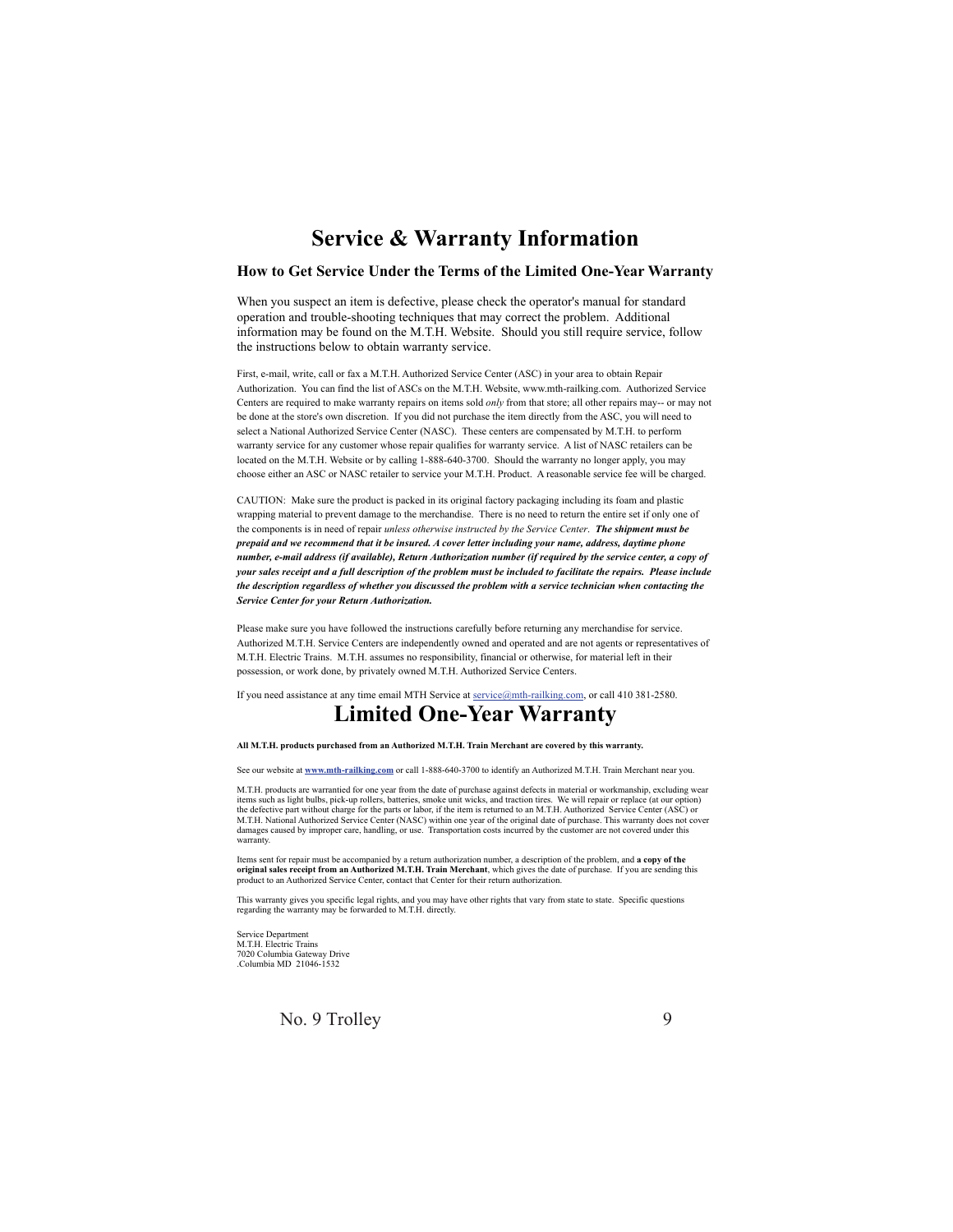#### **Service & Warranty Information**

#### **How to Get Service Under the Terms of the Limited One-Year Warranty**

When you suspect an item is defective, please check the operator's manual for standard operation and trouble-shooting techniques that may correct the problem. Additional information may be found on the M.T.H. Website. Should you still require service, follow the instructions below to obtain warranty service.

First, e-mail, write, call or fax a M.T.H. Authorized Service Center (ASC) in your area to obtain Repair Authorization. You can find the list of ASCs on the M.T.H. Website, www.mth-railking.com. Authorized Service Centers are required to make warranty repairs on items sold only from that store; all other repairs may-- or may not be done at the store's own discretion. If you did not purchase the item directly from the ASC, you will need to select a National Authorized Service Center (NASC). These centers are compensated by M.T.H. to perform warranty service for any customer whose repair qualifies for warranty service. A list of NASC retailers can be located on the M.T.H. Website or by calling 1-888-640-3700. Should the warranty no longer apply, you may choose either an ASC or NASC retailer to service your M.T.H. Product. A reasonable service fee will be charged.

CAUTION: Make sure the product is packed in its original factory packaging including its foam and plastic wrapping material to prevent damage to the merchandise. There is no need to return the entire set if only one of the components is in need of repair *unless otherwise instructed by the Service Center*. The shipment must be *prepaid and we recommend that it be insured. A cover letter including your name, address, daytime phone number, e-mail address (if available), Return Authorization number (if required by the service center, a copy of your sales receipt and a full description of the problem must be included to facilitate the repairs. Please include the description regardless of whether you discussed the problem with a service technician when contacting the Service Center for your Return Authorization.*

Please make sure you have followed the instructions carefully before returning any merchandise for service. Authorized M.T.H. Service Centers are independently owned and operated and are not agents or representatives of M.T.H. Electric Trains. M.T.H. assumes no responsibility, financial or otherwise, for material left in their possession, or work done, by privately owned M.T.H. Authorized Service Centers.

**Limited One-Year Warranty** If you need assistance at any time email MTH Service at service@mth-railking.com, or call 410 381-2580.

#### **All M.T.H. products purchased from an Authorized M.T.H. Train Merchant are covered by this warranty.**

See our website at **www.mth-railking.com** or call 1-888-640-3700 to identify an Authorized M.T.H. Train Merchant near you.

M.T.H. products are warrantied for one year from the date of purchase against defects in material or workmanship, excluding wear<br>tiems such as light bulbs, pick-up rollers, batteries, smoke unit wicks, and traction tires. damages caused by improper care, handling, or use. Transportation costs incurred by the customer are not covered under this warranty.

Items sent for repair must be accompanied by a return authorization number, a description of the problem, and **a copy of the**<br>**original sales receipt from an Authorized M.T.H. Train Merchant**, which gives the date of purch product to an Authorized Service Center, contact that Center for their return authorization.

This warranty gives you specific legal rights, and you may have other rights that vary from state to state. Specific questions regarding the warranty may be forwarded to M.T.H. directly.

Service Department M.T.H. Electric Trains 7020 Columbia Gateway Drive .Columbia MD 21046-1532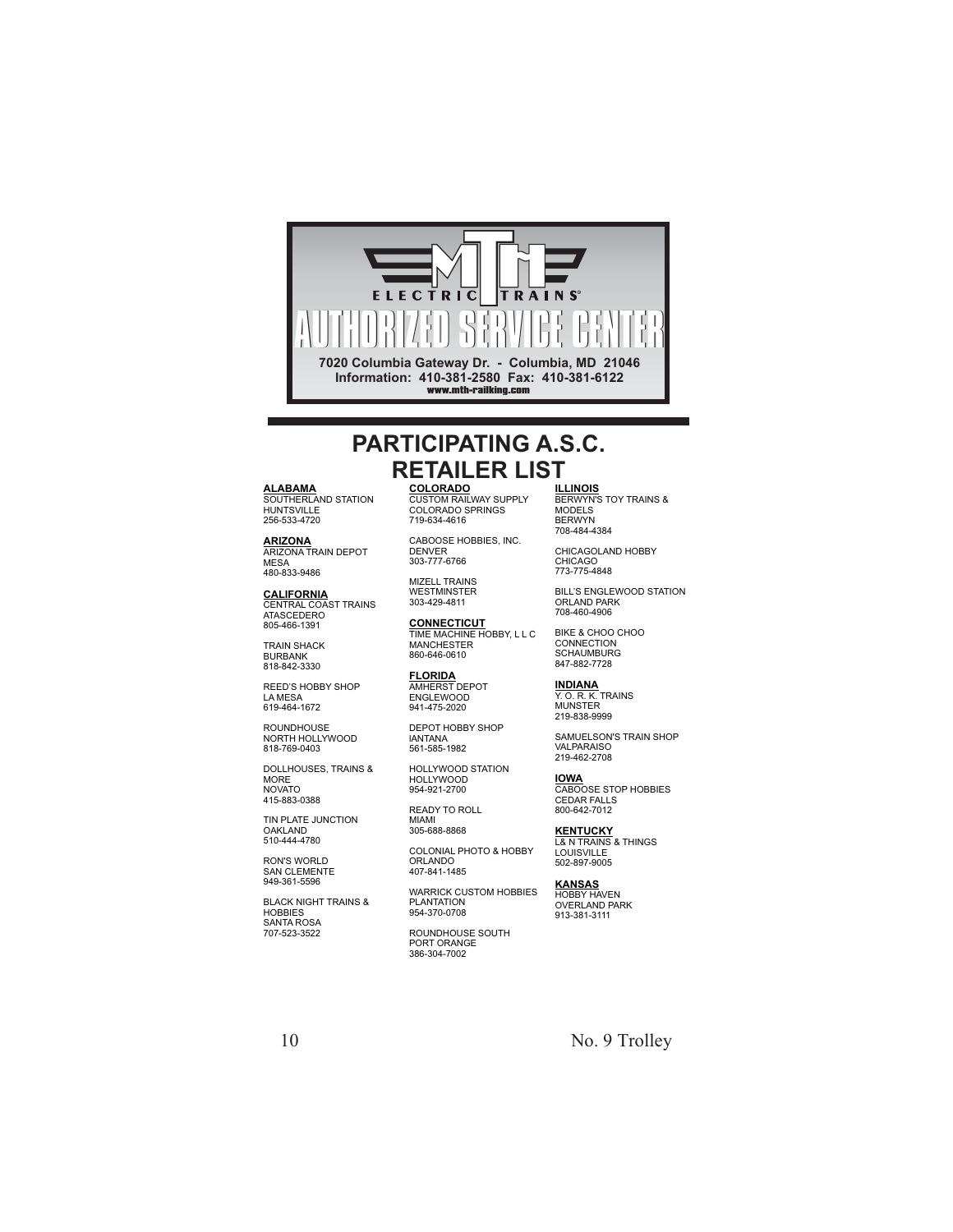

#### **PARTICIPATING A.S.C. RETAILER LIST**

**ALABAMA** SOUTHERLAND STATION HUNTSVILLE

256-533-4720

**ARIZONA** ARIZONA TRAIN DEPOT MESA 480-833-9486

**CALIFORNIA** CENTRAL COAST TRAINS ATASCEDERO 805-466-1391

TRAIN SHACK BURBANK 818-842-3330

REED'S HOBBY SHOP LA MESA 619-464-1672

ROUNDHOUSE NORTH HOLLYWOOD 818-769-0403

DOLLHOUSES, TRAINS & MORE NOVATO 415-883-0388

TIN PLATE JUNCTION OAKLAND 510-444-4780

RON'S WORLD SAN CLEMENTE 949-361-5596

BLACK NIGHT TRAINS & HOBBIES SANTA ROSA 707-523-3522

**COLORADO** CUSTOM RAILWAY SUPPLY COLORADO SPRINGS 719-634-4616

CABOOSE HOBBIES, INC. **DENVER** 303-777-6766

MIZELL TRAINS WESTMINSTER 303-429-4811

**CONNECTICUT** TIME MACHINE HOBBY, L L C MANCHESTER 860-646-0610

**FLORIDA** AMHERST DEPOT ENGLEWOOD 941-475-2020

DEPOT HOBBY SHOP lANTANA 561-585-1982

HOLLYWOOD STATION HOLLYWOOD 954-921-2700

READY TO ROLL MIAMI

305-688-8868

COLONIAL PHOTO & HOBBY ORLANDO 407-841-1485

WARRICK CUSTOM HOBBIES PLANTATION 954-370-0708

ROUNDHOUSE SOUTH PORT ORANGE 386-304-7002

**ILLINOIS** BERWYN'S TOY TRAINS & MODELS BERWYN 708-484-4384

CHICAGOLAND HOBBY CHICAGO 773-775-4848

BILL'S ENGLEWOOD STATION ORLAND PARK 708-460-4906

BIKE & CHOO CHOO **CONNECTION** SCHAUMBURG 847-882-7728

**INDIANA** Y. O. R. K. TRAINS MUNSTER 219-838-9999

SAMUELSON'S TRAIN SHOP VALPARAISO 219-462-2708

**IOWA** CABOOSE STOP HOBBIES CEDAR FALLS 800-642-7012

**KENTUCKY** L& N TRAINS & THINGS LOUISVILLE 502-897-9005

**KANSAS** HOBBY HAVEN OVERLAND PARK 913-381-3111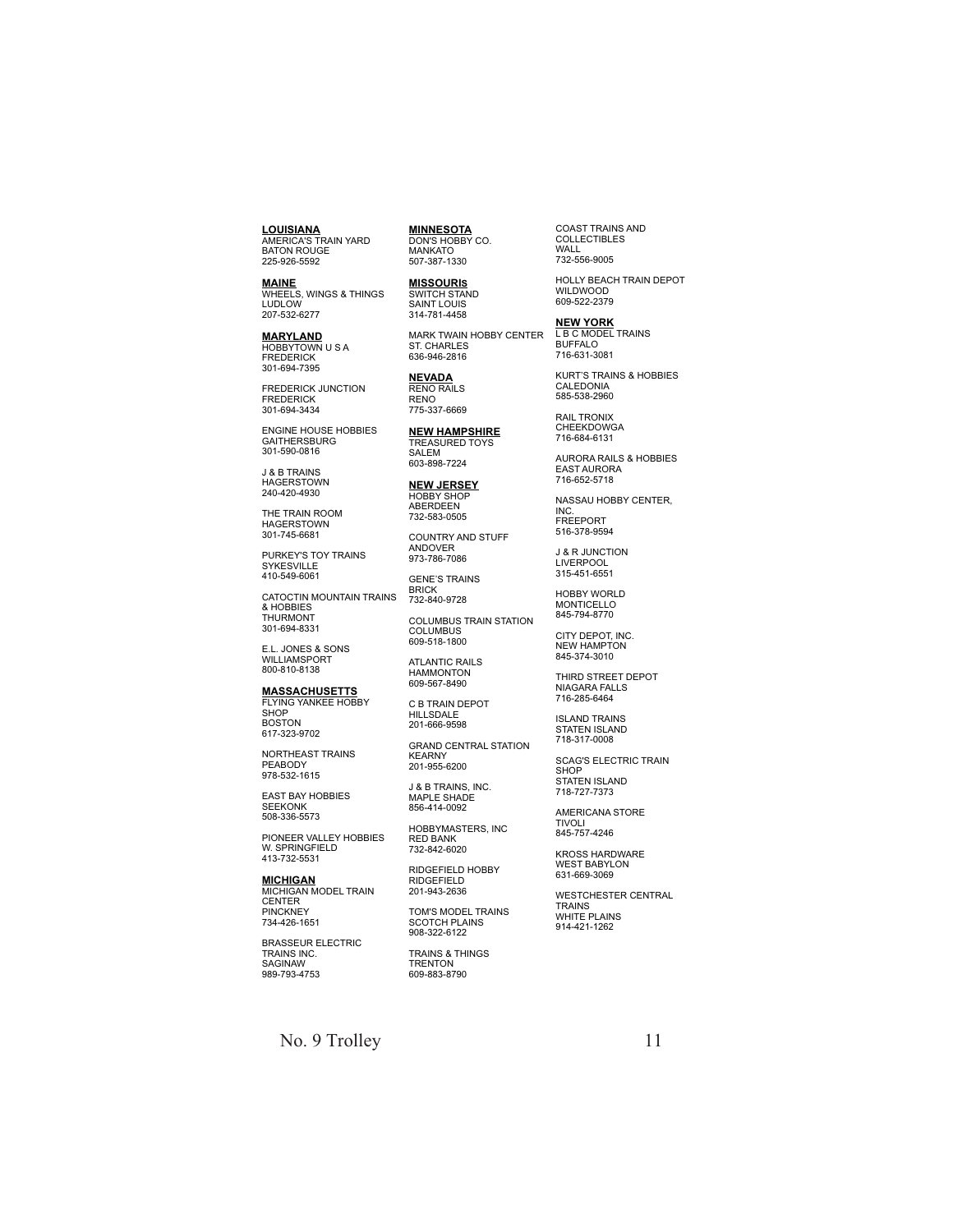**LOUISIANA** AMERICA'S TRAIN YARD BATON ROUGE 225-926-5592

**MAINE** WHEELS, WINGS & THINGS LUDLOW 207-532-6277

**MARYLAND** HOBBYTOWN U S A FREDERICK 301-694-7395

FREDERICK JUNCTION FREDERICK 301-694-3434

ENGINE HOUSE HOBBIES GAITHERSBURG 301-590-0816

J & B TRAINS HAGERSTOWN 240-420-4930

THE TRAIN ROOM HAGERSTOWN 301-745-6681

PURKEY'S TOY TRAINS SYKESVILLE 410-549-6061

CATOCTIN MOUNTAIN TRAINS & HOBBIES THURMONT 301-694-8331

E.L. JONES & SONS WILLIAMSPORT 800-810-8138

**MASSACHUSETTS** FLYING YANKEE HOBBY **SHOP** BOSTON 617-323-9702

NORTHEAST TRAINS PEABODY 978-532-1615

EAST BAY HOBBIES SEEKONK 508-336-5573

PIONEER VALLEY HOBBIES W. SPRINGFIELD 413-732-5531

**MICHIGAN** MICHIGAN MODEL TRAIN **CENTER** PINCKNEY 734-426-1651

BRASSEUR ELECTRIC TRAINS INC. SAGINAW 989-793-4753

**MINNESOTA** DON'S HOBBY CO. MANKATO 507-387-1330

**MISSOURI S**SWITCH STAND SAINT LOUIS 314-781-4458

MARK TWAIN HOBBY CENTER ST. CHARLES 636-946-2816

**NEVADA** RENO RAILS RENO 775-337-6669

**NEW HAMPSHIRE** TREASURED TOYS SALEM 603-898-7224

**NEW JERSEY** HOBBY SHOP ABERDEEN 732-583-0505

COUNTRY AND STUFF ANDOVER 973-786-7086

GENE'S TRAINS **BRICK** 

732-840-9728

COLUMBUS TRAIN STATION COLUMBUS 609-518-1800

ATLANTIC RAILS HAMMONTON 609-567-8490

C B TRAIN DEPOT HILLSDALE 201-666-9598

GRAND CENTRAL STATION KEARNY 201-955-6200

J & B TRAINS, INC. MAPLE SHADE 856-414-0092

HOBBYMASTERS, INC RED BANK 732-842-6020

RIDGEFIELD HOBBY RIDGEFIELD 201-943-2636

TOM'S MODEL TRAINS SCOTCH PLAINS 908-322-6122

TRAINS & THINGS TRENTON 609-883-8790

COAST TRAINS AND COLLECTIBLES WALL. 732-556-9005

HOLLY BEACH TRAIN DEPOT WILDWOOD 609-522-2379

**NEW YORK**

L B C MODEL TRAINS BUFFALO 716-631-3081

KURT'S TRAINS & HOBBIES CALEDONIA 585-538-2960

RAIL TRONIX CHEEKDOWGA 716-684-6131

AURORA RAILS & HOBBIES EAST AURORA 716-652-5718

NASSAU HOBBY CENTER, INC. FREEPORT 516-378-9594

J & R JUNCTION LIVERPOOL 315-451-6551

HOBBY WORLD MONTICELLO 845-794-8770

CITY DEPOT, INC. NEW HAMPTON 845-374-3010

THIRD STREET DEPOT NIAGARA FALLS 716-285-6464

ISLAND TRAINS STATEN ISLAND 718-317-0008

SCAG'S ELECTRIC TRAIN **SHOP** STATEN ISLAND 718-727-7373

AMERICANA STORE TIVOLI

 $845 - 757 - 4246$ 

KROSS HARDWARE WEST BABYLON 631-669-3069

WESTCHESTER CENTRAL TRAINS WHITE PLAINS 914-421-1262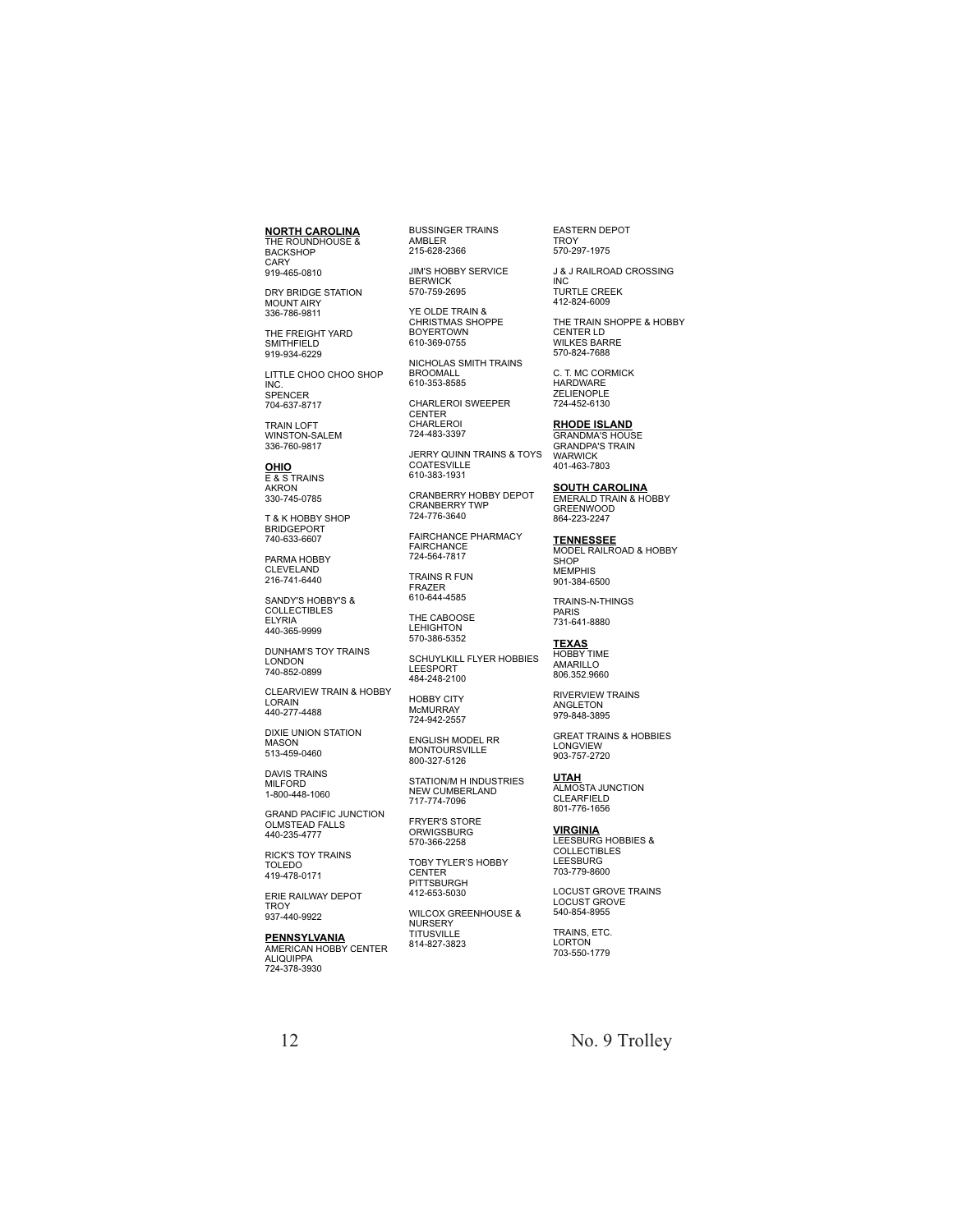**NORTH CAROLINA** THE ROUNDHOUSE & BACKSHOP CARY 919-465-0810

DRY BRIDGE STATION MOUNT AIRY 336-786-9811

THE FREIGHT YARD SMITHFIELD 919-934-6229

LITTLE CHOO CHOO SHOP INC. SPENCER 704-637-8717

TRAIN LOFT WINSTON-SALEM 336-760-9817

**OHIO** E & S TRAINS AKRON 330-745-0785

T & K HOBBY SHOP BRIDGEPORT 740-633-6607

PARMA HOBBY CLEVELAND 216-741-6440

SANDY'S HOBBY'S & COLLECTIBLES ELYRIA 440-365-9999

DUNHAM'S TOY TRAINS LONDON 740-852-0899

CLEARVIEW TRAIN & HOBBY LORAIN 440-277-4488

DIXIE UNION STATION MASON 513-459-0460

DAVIS TRAINS MILFORD 1-800-448-1060

GRAND PACIFIC JUNCTION OLMSTEAD FALLS 440-235-4777

RICK'S TOY TRAINS TOLEDO 419-478-0171

ERIE RAILWAY DEPOT TROY 937-440-9922

**PENNSYLVANIA**<br>AMERICAN HOBBY CENTER<br>ALIQUIPPA 724-378-3930

BUSSINGER TRAINS AMBLER 215-628-2366

JIM'S HOBBY SERVICE **BERWICK** 570-759-2695

YE OLDE TRAIN & CHRISTMAS SHOPPE BOYERTOWN 610-369-0755

NICHOLAS SMITH TRAINS BROOMALL 610-353-8585

CHARLEROI SWEEPER CENTER CHARLEROI

724-483-3397

JERRY QUINN TRAINS & TOYS COATESVILLE 610-383-1931

CRANBERRY HOBBY DEPOT CRANBERRY TWP 724-776-3640

FAIRCHANCE PHARMACY FAIRCHANCE 724-564-7817

TRAINS R FUN FRAZER 610-644-4585

THE CABOOSE

LEHIGHTON 570-386-5352

SCHUYLKILL FLYER HOBBIES LEESPORT 484-248-2100

HOBBY CITY M<sub>C</sub>MURRAY 724-942-2557

ENGLISH MODEL RR MONTOURSVILLE 800-327-5126

STATION/M H INDUSTRIES NEW CUMBERLAND 717-774-7096

FRYER'S STORE **ORWIGSBURG** 570-366-2258

TOBY TYLER'S HOBBY **CENTER** PITTSBURGH 412-653-5030

WILCOX GREENHOUSE & NURSERY TITUSVILLE 814-827-3823

EASTERN DEPOT **TROY** 570-297-1975

412-824-6009

J & J RAILROAD CROSSING INC TURTLE CREEK

THE TRAIN SHOPPE & HOBBY CENTER LD WILKES BARRE 570-824-7688

C. T. MC CORMICK HARDWARE ZELIENOPLE 724-452-6130

**RHODE ISLAND**

GRANDMA'S HOUSE GRANDPA'S TRAIN WARWICK 401-463-7803

**SOUTH CAROLINA** EMERALD TRAIN & HOBBY GREENWOOD 864-223-2247

**TENNESSEE** MODEL RAILROAD & HOBBY **SHOP** MEMPHIS 901-384-6500

TRAINS-N-THINGS PARIS 731-641-8880

**TEXAS** HOBBY TIME AMARILLO

806.352.9660

RIVERVIEW TRAINS ANGLETON 979-848-3895 GREAT TRAINS & HOBBIES LONGVIEW

**UTAH** ALMOSTA JUNCTION CLEARFIELD 903-757-2720

**VIRGINIA** 801-776-1656

LEESBURG HOBBIES & COLLECTIBLES LEESBURG 703-779-8600

LOCUST GROVE TRAINS LOCUST GROVE 540-854-8955

TRAINS, ETC. LORTON 703-550-1779